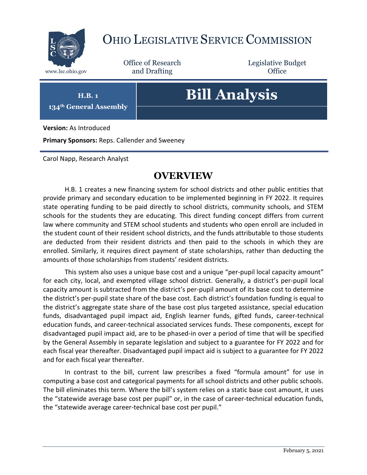

## OHIO LEGISLATIVE SERVICE COMMISSION

Office of Research www.lsc.ohio.gov **and Drafting Office** 

Legislative Budget

**H.B. 1**

**134th General Assembly**

# **Bill Analysis**

**Version:** As Introduced

**Primary Sponsors:** Reps. Callender and Sweeney

Carol Napp, Research Analyst

## **OVERVIEW**

H.B. 1 creates a new financing system for school districts and other public entities that provide primary and secondary education to be implemented beginning in FY 2022. It requires state operating funding to be paid directly to school districts, community schools, and STEM schools for the students they are educating. This direct funding concept differs from current law where community and STEM school students and students who open enroll are included in the student count of their resident school districts, and the funds attributable to those students are deducted from their resident districts and then paid to the schools in which they are enrolled. Similarly, it requires direct payment of state scholarships, rather than deducting the amounts of those scholarships from students' resident districts.

This system also uses a unique base cost and a unique "per-pupil local capacity amount" for each city, local, and exempted village school district. Generally, a district's per-pupil local capacity amount is subtracted from the district's per-pupil amount of its base cost to determine the district's per-pupil state share of the base cost. Each district's foundation funding is equal to the district's aggregate state share of the base cost plus targeted assistance, special education funds, disadvantaged pupil impact aid, English learner funds, gifted funds, career-technical education funds, and career-technical associated services funds. These components, except for disadvantaged pupil impact aid, are to be phased-in over a period of time that will be specified by the General Assembly in separate legislation and subject to a guarantee for FY 2022 and for each fiscal year thereafter. Disadvantaged pupil impact aid is subject to a guarantee for FY 2022 and for each fiscal year thereafter.

In contrast to the bill, current law prescribes a fixed "formula amount" for use in computing a base cost and categorical payments for all school districts and other public schools. The bill eliminates this term. Where the bill's system relies on a static base cost amount, it uses the "statewide average base cost per pupil" or, in the case of career-technical education funds, the "statewide average career-technical base cost per pupil."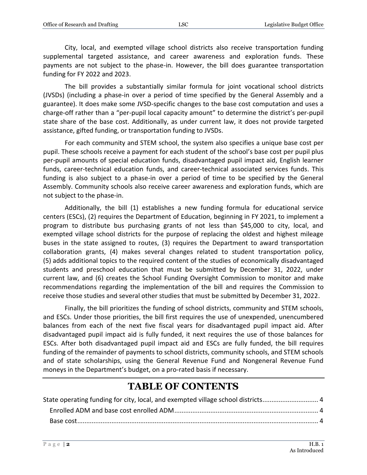City, local, and exempted village school districts also receive transportation funding supplemental targeted assistance, and career awareness and exploration funds. These payments are not subject to the phase-in. However, the bill does guarantee transportation funding for FY 2022 and 2023.

The bill provides a substantially similar formula for joint vocational school districts (JVSDs) (including a phase-in over a period of time specified by the General Assembly and a guarantee). It does make some JVSD-specific changes to the base cost computation and uses a charge-off rather than a "per-pupil local capacity amount" to determine the district's per-pupil state share of the base cost. Additionally, as under current law, it does not provide targeted assistance, gifted funding, or transportation funding to JVSDs.

For each community and STEM school, the system also specifies a unique base cost per pupil. These schools receive a payment for each student of the school's base cost per pupil plus per-pupil amounts of special education funds, disadvantaged pupil impact aid, English learner funds, career-technical education funds, and career-technical associated services funds. This funding is also subject to a phase-in over a period of time to be specified by the General Assembly. Community schools also receive career awareness and exploration funds, which are not subject to the phase-in.

Additionally, the bill (1) establishes a new funding formula for educational service centers (ESCs), (2) requires the Department of Education, beginning in FY 2021, to implement a program to distribute bus purchasing grants of not less than \$45,000 to city, local, and exempted village school districts for the purpose of replacing the oldest and highest mileage buses in the state assigned to routes, (3) requires the Department to award transportation collaboration grants, (4) makes several changes related to student transportation policy, (5) adds additional topics to the required content of the studies of economically disadvantaged students and preschool education that must be submitted by December 31, 2022, under current law, and (6) creates the School Funding Oversight Commission to monitor and make recommendations regarding the implementation of the bill and requires the Commission to receive those studies and several other studies that must be submitted by December 31, 2022.

Finally, the bill prioritizes the funding of school districts, community and STEM schools, and ESCs. Under those priorities, the bill first requires the use of unexpended, unencumbered balances from each of the next five fiscal years for disadvantaged pupil impact aid. After disadvantaged pupil impact aid is fully funded, it next requires the use of those balances for ESCs. After both disadvantaged pupil impact aid and ESCs are fully funded, the bill requires funding of the remainder of payments to school districts, community schools, and STEM schools and of state scholarships, using the General Revenue Fund and Nongeneral Revenue Fund moneys in the Department's budget, on a pro-rated basis if necessary.

## **TABLE OF CONTENTS**

| State operating funding for city, local, and exempted village school districts |  |
|--------------------------------------------------------------------------------|--|
|                                                                                |  |
|                                                                                |  |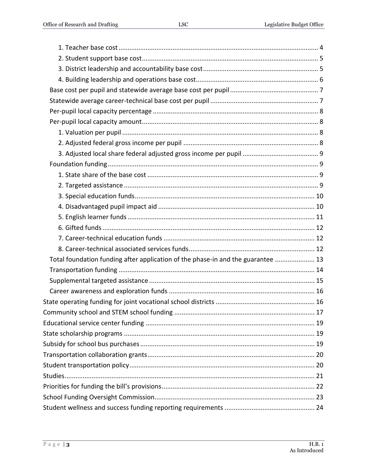| Total foundation funding after application of the phase-in and the guarantee  13 |  |
|----------------------------------------------------------------------------------|--|
|                                                                                  |  |
|                                                                                  |  |
|                                                                                  |  |
|                                                                                  |  |
|                                                                                  |  |
|                                                                                  |  |
|                                                                                  |  |
|                                                                                  |  |
|                                                                                  |  |
|                                                                                  |  |
|                                                                                  |  |
|                                                                                  |  |
|                                                                                  |  |
|                                                                                  |  |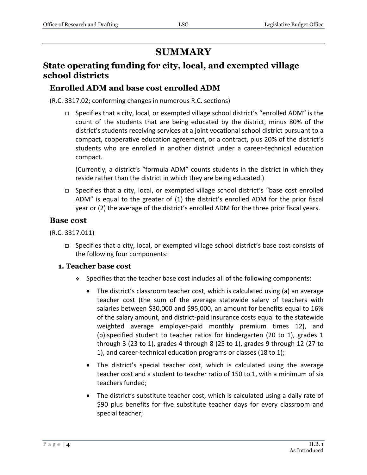## **SUMMARY**

## <span id="page-3-0"></span>**State operating funding for city, local, and exempted village school districts**

## <span id="page-3-1"></span>**Enrolled ADM and base cost enrolled ADM**

(R.C. 3317.02; conforming changes in numerous R.C. sections)

 Specifies that a city, local, or exempted village school district's "enrolled ADM" is the count of the students that are being educated by the district, minus 80% of the district's students receiving services at a joint vocational school district pursuant to a compact, cooperative education agreement, or a contract, plus 20% of the district's students who are enrolled in another district under a career-technical education compact.

(Currently, a district's "formula ADM" counts students in the district in which they reside rather than the district in which they are being educated.)

 Specifies that a city, local, or exempted village school district's "base cost enrolled ADM" is equal to the greater of (1) the district's enrolled ADM for the prior fiscal year or (2) the average of the district's enrolled ADM for the three prior fiscal years.

#### <span id="page-3-2"></span>**Base cost**

(R.C. 3317.011)

 Specifies that a city, local, or exempted village school district's base cost consists of the following four components:

#### <span id="page-3-3"></span>**1. Teacher base cost**

- Specifies that the teacher base cost includes all of the following components:
	- The district's classroom teacher cost, which is calculated using (a) an average teacher cost (the sum of the average statewide salary of teachers with salaries between \$30,000 and \$95,000, an amount for benefits equal to 16% of the salary amount, and district-paid insurance costs equal to the statewide weighted average employer-paid monthly premium times 12), and (b) specified student to teacher ratios for kindergarten (20 to 1), grades 1 through 3 (23 to 1), grades 4 through 8 (25 to 1), grades 9 through 12 (27 to 1), and career-technical education programs or classes (18 to 1);
	- The district's special teacher cost, which is calculated using the average teacher cost and a student to teacher ratio of 150 to 1, with a minimum of six teachers funded;
	- The district's substitute teacher cost, which is calculated using a daily rate of \$90 plus benefits for five substitute teacher days for every classroom and special teacher;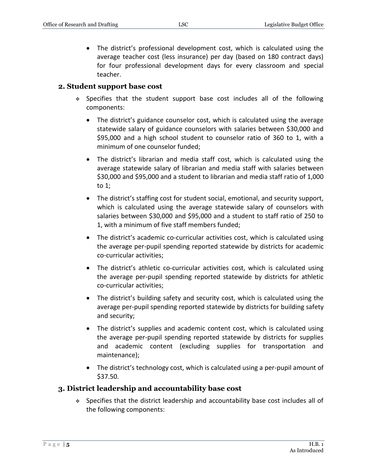The district's professional development cost, which is calculated using the average teacher cost (less insurance) per day (based on 180 contract days) for four professional development days for every classroom and special teacher.

#### <span id="page-4-0"></span>**2. Student support base cost**

- Specifies that the student support base cost includes all of the following components:
	- The district's guidance counselor cost, which is calculated using the average statewide salary of guidance counselors with salaries between \$30,000 and \$95,000 and a high school student to counselor ratio of 360 to 1, with a minimum of one counselor funded;
	- The district's librarian and media staff cost, which is calculated using the average statewide salary of librarian and media staff with salaries between \$30,000 and \$95,000 and a student to librarian and media staff ratio of 1,000 to 1;
	- The district's staffing cost for student social, emotional, and security support, which is calculated using the average statewide salary of counselors with salaries between \$30,000 and \$95,000 and a student to staff ratio of 250 to 1, with a minimum of five staff members funded;
	- The district's academic co-curricular activities cost, which is calculated using the average per-pupil spending reported statewide by districts for academic co-curricular activities;
	- The district's athletic co-curricular activities cost, which is calculated using the average per-pupil spending reported statewide by districts for athletic co-curricular activities;
	- The district's building safety and security cost, which is calculated using the average per-pupil spending reported statewide by districts for building safety and security;
	- The district's supplies and academic content cost, which is calculated using the average per-pupil spending reported statewide by districts for supplies and academic content (excluding supplies for transportation and maintenance);
	- The district's technology cost, which is calculated using a per-pupil amount of \$37.50.

#### <span id="page-4-1"></span>**3. District leadership and accountability base cost**

 Specifies that the district leadership and accountability base cost includes all of the following components: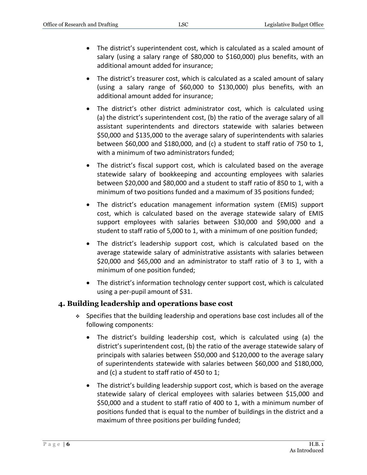- The district's superintendent cost, which is calculated as a scaled amount of salary (using a salary range of \$80,000 to \$160,000) plus benefits, with an additional amount added for insurance;
- The district's treasurer cost, which is calculated as a scaled amount of salary (using a salary range of \$60,000 to \$130,000) plus benefits, with an additional amount added for insurance;
- The district's other district administrator cost, which is calculated using (a) the district's superintendent cost, (b) the ratio of the average salary of all assistant superintendents and directors statewide with salaries between \$50,000 and \$135,000 to the average salary of superintendents with salaries between \$60,000 and \$180,000, and (c) a student to staff ratio of 750 to 1, with a minimum of two administrators funded;
- The district's fiscal support cost, which is calculated based on the average statewide salary of bookkeeping and accounting employees with salaries between \$20,000 and \$80,000 and a student to staff ratio of 850 to 1, with a minimum of two positions funded and a maximum of 35 positions funded;
- The district's education management information system (EMIS) support cost, which is calculated based on the average statewide salary of EMIS support employees with salaries between \$30,000 and \$90,000 and a student to staff ratio of 5,000 to 1, with a minimum of one position funded;
- The district's leadership support cost, which is calculated based on the average statewide salary of administrative assistants with salaries between \$20,000 and \$65,000 and an administrator to staff ratio of 3 to 1, with a minimum of one position funded;
- The district's information technology center support cost, which is calculated using a per-pupil amount of \$31.

#### <span id="page-5-0"></span>**4. Building leadership and operations base cost**

- Specifies that the building leadership and operations base cost includes all of the following components:
	- The district's building leadership cost, which is calculated using (a) the district's superintendent cost, (b) the ratio of the average statewide salary of principals with salaries between \$50,000 and \$120,000 to the average salary of superintendents statewide with salaries between \$60,000 and \$180,000, and (c) a student to staff ratio of 450 to 1;
	- The district's building leadership support cost, which is based on the average statewide salary of clerical employees with salaries between \$15,000 and \$50,000 and a student to staff ratio of 400 to 1, with a minimum number of positions funded that is equal to the number of buildings in the district and a maximum of three positions per building funded;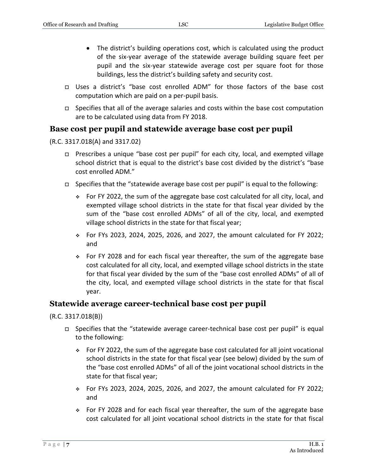- The district's building operations cost, which is calculated using the product of the six-year average of the statewide average building square feet per pupil and the six-year statewide average cost per square foot for those buildings, less the district's building safety and security cost.
- Uses a district's "base cost enrolled ADM" for those factors of the base cost computation which are paid on a per-pupil basis.
- $\Box$  Specifies that all of the average salaries and costs within the base cost computation are to be calculated using data from FY 2018.

### <span id="page-6-0"></span>**Base cost per pupil and statewide average base cost per pupil**

(R.C. 3317.018(A) and 3317.02)

- Prescribes a unique "base cost per pupil" for each city, local, and exempted village school district that is equal to the district's base cost divided by the district's "base cost enrolled ADM."
- $\Box$  Specifies that the "statewide average base cost per pupil" is equal to the following:
	- For FY 2022, the sum of the aggregate base cost calculated for all city, local, and exempted village school districts in the state for that fiscal year divided by the sum of the "base cost enrolled ADMs" of all of the city, local, and exempted village school districts in the state for that fiscal year;
	- For FYs 2023, 2024, 2025, 2026, and 2027, the amount calculated for FY 2022; and
	- For FY 2028 and for each fiscal year thereafter, the sum of the aggregate base cost calculated for all city, local, and exempted village school districts in the state for that fiscal year divided by the sum of the "base cost enrolled ADMs" of all of the city, local, and exempted village school districts in the state for that fiscal year.

#### <span id="page-6-1"></span>**Statewide average career-technical base cost per pupil**

(R.C. 3317.018(B))

- $\Box$  Specifies that the "statewide average career-technical base cost per pupil" is equal to the following:
	- For FY 2022, the sum of the aggregate base cost calculated for all joint vocational school districts in the state for that fiscal year (see below) divided by the sum of the "base cost enrolled ADMs" of all of the joint vocational school districts in the state for that fiscal year;
	- For FYs 2023, 2024, 2025, 2026, and 2027, the amount calculated for FY 2022; and
	- $\div$  For FY 2028 and for each fiscal year thereafter, the sum of the aggregate base cost calculated for all joint vocational school districts in the state for that fiscal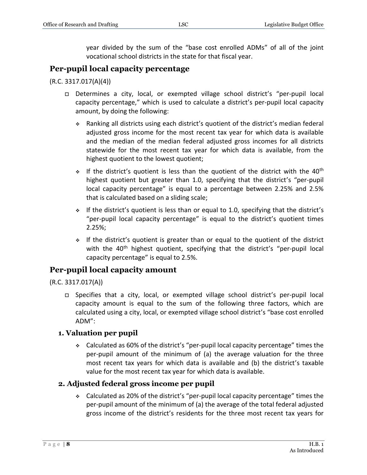year divided by the sum of the "base cost enrolled ADMs" of all of the joint vocational school districts in the state for that fiscal year.

## <span id="page-7-0"></span>**Per-pupil local capacity percentage**

#### (R.C. 3317.017(A)(4))

- Determines a city, local, or exempted village school district's "per-pupil local capacity percentage," which is used to calculate a district's per-pupil local capacity amount, by doing the following:
	- Ranking all districts using each district's quotient of the district's median federal adjusted gross income for the most recent tax year for which data is available and the median of the median federal adjusted gross incomes for all districts statewide for the most recent tax year for which data is available, from the highest quotient to the lowest quotient;
	- $\cdot$  If the district's quotient is less than the quotient of the district with the 40<sup>th</sup> highest quotient but greater than 1.0, specifying that the district's "per-pupil local capacity percentage" is equal to a percentage between 2.25% and 2.5% that is calculated based on a sliding scale;
	- $\div$  If the district's quotient is less than or equal to 1.0, specifying that the district's "per-pupil local capacity percentage" is equal to the district's quotient times 2.25%;
	- $\cdot$  If the district's quotient is greater than or equal to the quotient of the district with the 40<sup>th</sup> highest quotient, specifying that the district's "per-pupil local capacity percentage" is equal to 2.5%.

## <span id="page-7-1"></span>**Per-pupil local capacity amount**

#### (R.C. 3317.017(A))

 Specifies that a city, local, or exempted village school district's per-pupil local capacity amount is equal to the sum of the following three factors, which are calculated using a city, local, or exempted village school district's "base cost enrolled ADM":

#### <span id="page-7-2"></span>**1. Valuation per pupil**

 Calculated as 60% of the district's "per-pupil local capacity percentage" times the per-pupil amount of the minimum of (a) the average valuation for the three most recent tax years for which data is available and (b) the district's taxable value for the most recent tax year for which data is available.

#### <span id="page-7-3"></span>**2. Adjusted federal gross income per pupil**

 Calculated as 20% of the district's "per-pupil local capacity percentage" times the per-pupil amount of the minimum of (a) the average of the total federal adjusted gross income of the district's residents for the three most recent tax years for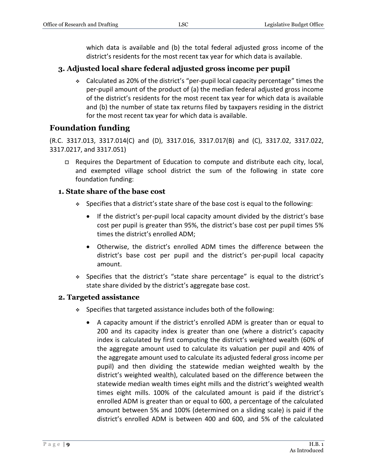which data is available and (b) the total federal adjusted gross income of the district's residents for the most recent tax year for which data is available.

## <span id="page-8-0"></span>**3. Adjusted local share federal adjusted gross income per pupil**

 Calculated as 20% of the district's "per-pupil local capacity percentage" times the per-pupil amount of the product of (a) the median federal adjusted gross income of the district's residents for the most recent tax year for which data is available and (b) the number of state tax returns filed by taxpayers residing in the district for the most recent tax year for which data is available.

## <span id="page-8-1"></span>**Foundation funding**

(R.C. 3317.013, 3317.014(C) and (D), 3317.016, 3317.017(B) and (C), 3317.02, 3317.022, 3317.0217, and 3317.051)

 Requires the Department of Education to compute and distribute each city, local, and exempted village school district the sum of the following in state core foundation funding:

### <span id="page-8-2"></span>**1. State share of the base cost**

- $\bullet$  Specifies that a district's state share of the base cost is equal to the following:
	- If the district's per-pupil local capacity amount divided by the district's base cost per pupil is greater than 95%, the district's base cost per pupil times 5% times the district's enrolled ADM;
	- Otherwise, the district's enrolled ADM times the difference between the district's base cost per pupil and the district's per-pupil local capacity amount.
- Specifies that the district's "state share percentage" is equal to the district's state share divided by the district's aggregate base cost.

#### <span id="page-8-3"></span>**2. Targeted assistance**

- $\div$  Specifies that targeted assistance includes both of the following:
	- A capacity amount if the district's enrolled ADM is greater than or equal to 200 and its capacity index is greater than one (where a district's capacity index is calculated by first computing the district's weighted wealth (60% of the aggregate amount used to calculate its valuation per pupil and 40% of the aggregate amount used to calculate its adjusted federal gross income per pupil) and then dividing the statewide median weighted wealth by the district's weighted wealth), calculated based on the difference between the statewide median wealth times eight mills and the district's weighted wealth times eight mills. 100% of the calculated amount is paid if the district's enrolled ADM is greater than or equal to 600, a percentage of the calculated amount between 5% and 100% (determined on a sliding scale) is paid if the district's enrolled ADM is between 400 and 600, and 5% of the calculated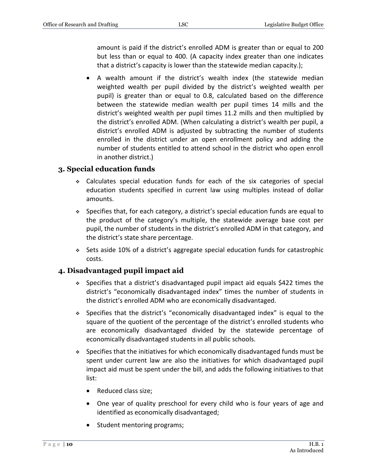amount is paid if the district's enrolled ADM is greater than or equal to 200 but less than or equal to 400. (A capacity index greater than one indicates that a district's capacity is lower than the statewide median capacity.);

 A wealth amount if the district's wealth index (the statewide median weighted wealth per pupil divided by the district's weighted wealth per pupil) is greater than or equal to 0.8, calculated based on the difference between the statewide median wealth per pupil times 14 mills and the district's weighted wealth per pupil times 11.2 mills and then multiplied by the district's enrolled ADM. (When calculating a district's wealth per pupil, a district's enrolled ADM is adjusted by subtracting the number of students enrolled in the district under an open enrollment policy and adding the number of students entitled to attend school in the district who open enroll in another district.)

#### <span id="page-9-0"></span>**3. Special education funds**

- Calculates special education funds for each of the six categories of special education students specified in current law using multiples instead of dollar amounts.
- $\div$  Specifies that, for each category, a district's special education funds are equal to the product of the category's multiple, the statewide average base cost per pupil, the number of students in the district's enrolled ADM in that category, and the district's state share percentage.
- Sets aside 10% of a district's aggregate special education funds for catastrophic costs.

#### <span id="page-9-1"></span>**4. Disadvantaged pupil impact aid**

- Specifies that a district's disadvantaged pupil impact aid equals \$422 times the district's "economically disadvantaged index" times the number of students in the district's enrolled ADM who are economically disadvantaged.
- Specifies that the district's "economically disadvantaged index" is equal to the square of the quotient of the percentage of the district's enrolled students who are economically disadvantaged divided by the statewide percentage of economically disadvantaged students in all public schools.
- $\bullet$  Specifies that the initiatives for which economically disadvantaged funds must be spent under current law are also the initiatives for which disadvantaged pupil impact aid must be spent under the bill, and adds the following initiatives to that list:
	- Reduced class size;
	- One year of quality preschool for every child who is four years of age and identified as economically disadvantaged;
	- Student mentoring programs;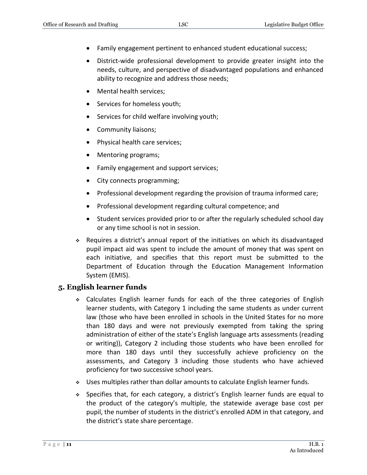- Family engagement pertinent to enhanced student educational success;
- District-wide professional development to provide greater insight into the needs, culture, and perspective of disadvantaged populations and enhanced ability to recognize and address those needs;
- Mental health services;
- Services for homeless youth;
- Services for child welfare involving youth;
- Community liaisons;
- Physical health care services;
- Mentoring programs;
- Family engagement and support services;
- City connects programming;
- Professional development regarding the provision of trauma informed care;
- Professional development regarding cultural competence; and
- Student services provided prior to or after the regularly scheduled school day or any time school is not in session.
- Requires a district's annual report of the initiatives on which its disadvantaged pupil impact aid was spent to include the amount of money that was spent on each initiative, and specifies that this report must be submitted to the Department of Education through the Education Management Information System (EMIS).

#### <span id="page-10-0"></span>**5. English learner funds**

- Calculates English learner funds for each of the three categories of English learner students, with Category 1 including the same students as under current law (those who have been enrolled in schools in the United States for no more than 180 days and were not previously exempted from taking the spring administration of either of the state's English language arts assessments (reading or writing)), Category 2 including those students who have been enrolled for more than 180 days until they successfully achieve proficiency on the assessments, and Category 3 including those students who have achieved proficiency for two successive school years.
- Uses multiples rather than dollar amounts to calculate English learner funds.
- Specifies that, for each category, a district's English learner funds are equal to the product of the category's multiple, the statewide average base cost per pupil, the number of students in the district's enrolled ADM in that category, and the district's state share percentage.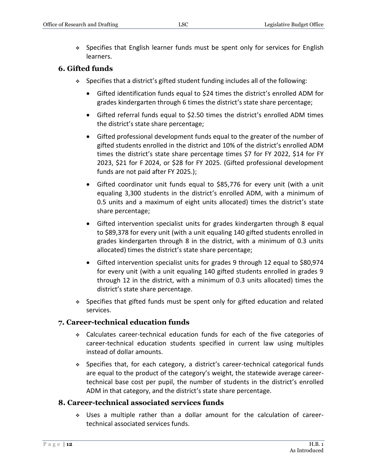Specifies that English learner funds must be spent only for services for English learners.

#### <span id="page-11-0"></span>**6. Gifted funds**

- Specifies that a district's gifted student funding includes all of the following:
	- Gifted identification funds equal to \$24 times the district's enrolled ADM for grades kindergarten through 6 times the district's state share percentage;
	- Gifted referral funds equal to \$2.50 times the district's enrolled ADM times the district's state share percentage;
	- Gifted professional development funds equal to the greater of the number of gifted students enrolled in the district and 10% of the district's enrolled ADM times the district's state share percentage times \$7 for FY 2022, \$14 for FY 2023, \$21 for F 2024, or \$28 for FY 2025. (Gifted professional development funds are not paid after FY 2025.);
	- Gifted coordinator unit funds equal to \$85,776 for every unit (with a unit equaling 3,300 students in the district's enrolled ADM, with a minimum of 0.5 units and a maximum of eight units allocated) times the district's state share percentage;
	- Gifted intervention specialist units for grades kindergarten through 8 equal to \$89,378 for every unit (with a unit equaling 140 gifted students enrolled in grades kindergarten through 8 in the district, with a minimum of 0.3 units allocated) times the district's state share percentage;
	- Gifted intervention specialist units for grades 9 through 12 equal to \$80,974 for every unit (with a unit equaling 140 gifted students enrolled in grades 9 through 12 in the district, with a minimum of 0.3 units allocated) times the district's state share percentage.
- Specifies that gifted funds must be spent only for gifted education and related services.

#### <span id="page-11-1"></span>**7. Career-technical education funds**

- Calculates career-technical education funds for each of the five categories of career-technical education students specified in current law using multiples instead of dollar amounts.
- Specifies that, for each category, a district's career-technical categorical funds are equal to the product of the category's weight, the statewide average careertechnical base cost per pupil, the number of students in the district's enrolled ADM in that category, and the district's state share percentage.

#### <span id="page-11-2"></span>**8. Career-technical associated services funds**

 Uses a multiple rather than a dollar amount for the calculation of careertechnical associated services funds.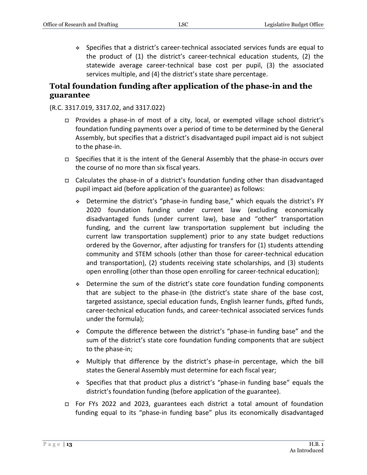Specifies that a district's career-technical associated services funds are equal to the product of (1) the district's career-technical education students, (2) the statewide average career-technical base cost per pupil, (3) the associated services multiple, and (4) the district's state share percentage.

## <span id="page-12-0"></span>**Total foundation funding after application of the phase-in and the guarantee**

#### (R.C. 3317.019, 3317.02, and 3317.022)

- Provides a phase-in of most of a city, local, or exempted village school district's foundation funding payments over a period of time to be determined by the General Assembly, but specifies that a district's disadvantaged pupil impact aid is not subject to the phase-in.
- $\Box$  Specifies that it is the intent of the General Assembly that the phase-in occurs over the course of no more than six fiscal years.
- Calculates the phase-in of a district's foundation funding other than disadvantaged pupil impact aid (before application of the guarantee) as follows:
	- Determine the district's "phase-in funding base," which equals the district's FY 2020 foundation funding under current law (excluding economically disadvantaged funds (under current law), base and "other" transportation funding, and the current law transportation supplement but including the current law transportation supplement) prior to any state budget reductions ordered by the Governor, after adjusting for transfers for (1) students attending community and STEM schools (other than those for career-technical education and transportation), (2) students receiving state scholarships, and (3) students open enrolling (other than those open enrolling for career-technical education);
	- Determine the sum of the district's state core foundation funding components that are subject to the phase-in (the district's state share of the base cost, targeted assistance, special education funds, English learner funds, gifted funds, career-technical education funds, and career-technical associated services funds under the formula);
	- Compute the difference between the district's "phase-in funding base" and the sum of the district's state core foundation funding components that are subject to the phase-in;
	- Multiply that difference by the district's phase-in percentage, which the bill states the General Assembly must determine for each fiscal year;
	- Specifies that that product plus a district's "phase-in funding base" equals the district's foundation funding (before application of the guarantee).
- For FYs 2022 and 2023, guarantees each district a total amount of foundation funding equal to its "phase-in funding base" plus its economically disadvantaged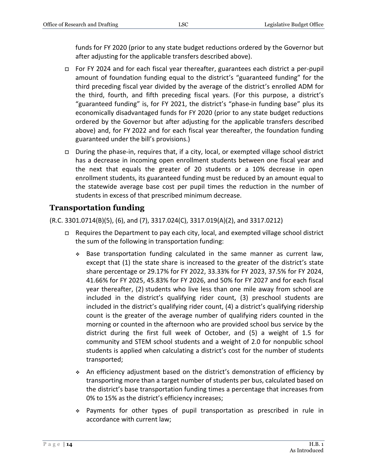funds for FY 2020 (prior to any state budget reductions ordered by the Governor but after adjusting for the applicable transfers described above).

- □ For FY 2024 and for each fiscal year thereafter, guarantees each district a per-pupil amount of foundation funding equal to the district's "guaranteed funding" for the third preceding fiscal year divided by the average of the district's enrolled ADM for the third, fourth, and fifth preceding fiscal years. (For this purpose, a district's "guaranteed funding" is, for FY 2021, the district's "phase-in funding base" plus its economically disadvantaged funds for FY 2020 (prior to any state budget reductions ordered by the Governor but after adjusting for the applicable transfers described above) and, for FY 2022 and for each fiscal year thereafter, the foundation funding guaranteed under the bill's provisions.)
- □ During the phase-in, requires that, if a city, local, or exempted village school district has a decrease in incoming open enrollment students between one fiscal year and the next that equals the greater of 20 students or a 10% decrease in open enrollment students, its guaranteed funding must be reduced by an amount equal to the statewide average base cost per pupil times the reduction in the number of students in excess of that prescribed minimum decrease.

## <span id="page-13-0"></span>**Transportation funding**

(R.C. 3301.0714(B)(5), (6), and (7), 3317.024(C), 3317.019(A)(2), and 3317.0212)

- Requires the Department to pay each city, local, and exempted village school district the sum of the following in transportation funding:
	- Base transportation funding calculated in the same manner as current law, except that (1) the state share is increased to the greater of the district's state share percentage or 29.17% for FY 2022, 33.33% for FY 2023, 37.5% for FY 2024, 41.66% for FY 2025, 45.83% for FY 2026, and 50% for FY 2027 and for each fiscal year thereafter, (2) students who live less than one mile away from school are included in the district's qualifying rider count, (3) preschool students are included in the district's qualifying rider count, (4) a district's qualifying ridership count is the greater of the average number of qualifying riders counted in the morning or counted in the afternoon who are provided school bus service by the district during the first full week of October, and (5) a weight of 1.5 for community and STEM school students and a weight of 2.0 for nonpublic school students is applied when calculating a district's cost for the number of students transported;
	- An efficiency adjustment based on the district's demonstration of efficiency by transporting more than a target number of students per bus, calculated based on the district's base transportation funding times a percentage that increases from 0% to 15% as the district's efficiency increases;
	- Payments for other types of pupil transportation as prescribed in rule in accordance with current law;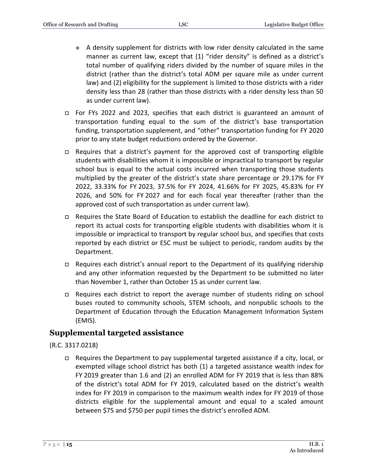- $\bullet$  A density supplement for districts with low rider density calculated in the same manner as current law, except that (1) "rider density" is defined as a district's total number of qualifying riders divided by the number of square miles in the district (rather than the district's total ADM per square mile as under current law) and (2) eligibility for the supplement is limited to those districts with a rider density less than 28 (rather than those districts with a rider density less than 50 as under current law).
- For FYs 2022 and 2023, specifies that each district is guaranteed an amount of transportation funding equal to the sum of the district's base transportation funding, transportation supplement, and "other" transportation funding for FY 2020 prior to any state budget reductions ordered by the Governor.
- $\Box$  Requires that a district's payment for the approved cost of transporting eligible students with disabilities whom it is impossible or impractical to transport by regular school bus is equal to the actual costs incurred when transporting those students multiplied by the greater of the district's state share percentage or 29.17% for FY 2022, 33.33% for FY 2023, 37.5% for FY 2024, 41.66% for FY 2025, 45.83% for FY 2026, and 50% for FY 2027 and for each fiscal year thereafter (rather than the approved cost of such transportation as under current law).
- Requires the State Board of Education to establish the deadline for each district to report its actual costs for transporting eligible students with disabilities whom it is impossible or impractical to transport by regular school bus, and specifies that costs reported by each district or ESC must be subject to periodic, random audits by the Department.
- $\Box$  Requires each district's annual report to the Department of its qualifying ridership and any other information requested by the Department to be submitted no later than November 1, rather than October 15 as under current law.
- $\Box$  Requires each district to report the average number of students riding on school buses routed to community schools, STEM schools, and nonpublic schools to the Department of Education through the Education Management Information System (EMIS).

#### <span id="page-14-0"></span>**Supplemental targeted assistance**

#### (R.C. 3317.0218)

□ Requires the Department to pay supplemental targeted assistance if a city, local, or exempted village school district has both (1) a targeted assistance wealth index for FY 2019 greater than 1.6 and (2) an enrolled ADM for FY 2019 that is less than 88% of the district's total ADM for FY 2019, calculated based on the district's wealth index for FY 2019 in comparison to the maximum wealth index for FY 2019 of those districts eligible for the supplemental amount and equal to a scaled amount between \$75 and \$750 per pupil times the district's enrolled ADM.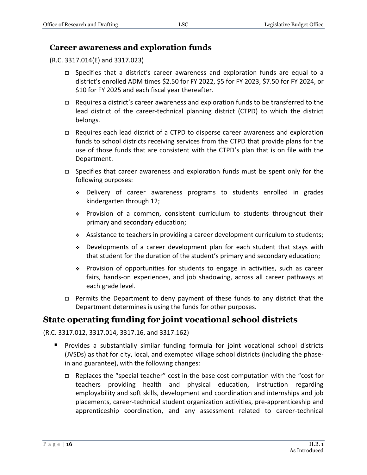#### <span id="page-15-0"></span>**Career awareness and exploration funds**

(R.C. 3317.014(E) and 3317.023)

- Specifies that a district's career awareness and exploration funds are equal to a district's enrolled ADM times \$2.50 for FY 2022, \$5 for FY 2023, \$7.50 for FY 2024, or \$10 for FY 2025 and each fiscal year thereafter.
- $\Box$  Requires a district's career awareness and exploration funds to be transferred to the lead district of the career-technical planning district (CTPD) to which the district belongs.
- $\Box$  Requires each lead district of a CTPD to disperse career awareness and exploration funds to school districts receiving services from the CTPD that provide plans for the use of those funds that are consistent with the CTPD's plan that is on file with the Department.
- □ Specifies that career awareness and exploration funds must be spent only for the following purposes:
	- Delivery of career awareness programs to students enrolled in grades kindergarten through 12;
	- Provision of a common, consistent curriculum to students throughout their primary and secondary education;
	- Assistance to teachers in providing a career development curriculum to students;
	- Developments of a career development plan for each student that stays with that student for the duration of the student's primary and secondary education;
	- Provision of opportunities for students to engage in activities, such as career fairs, hands-on experiences, and job shadowing, across all career pathways at each grade level.
- Permits the Department to deny payment of these funds to any district that the Department determines is using the funds for other purposes.

## <span id="page-15-1"></span>**State operating funding for joint vocational school districts**

(R.C. 3317.012, 3317.014, 3317.16, and 3317.162)

- **Provides a substantially similar funding formula for joint vocational school districts** (JVSDs) as that for city, local, and exempted village school districts (including the phasein and guarantee), with the following changes:
	- □ Replaces the "special teacher" cost in the base cost computation with the "cost for teachers providing health and physical education, instruction regarding employability and soft skills, development and coordination and internships and job placements, career-technical student organization activities, pre-apprenticeship and apprenticeship coordination, and any assessment related to career-technical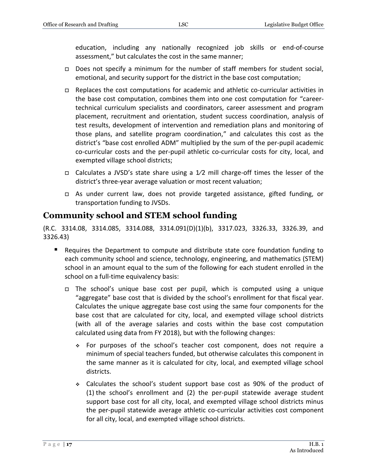education, including any nationally recognized job skills or end-of-course assessment," but calculates the cost in the same manner;

- □ Does not specify a minimum for the number of staff members for student social, emotional, and security support for the district in the base cost computation;
- Replaces the cost computations for academic and athletic co-curricular activities in the base cost computation, combines them into one cost computation for "careertechnical curriculum specialists and coordinators, career assessment and program placement, recruitment and orientation, student success coordination, analysis of test results, development of intervention and remediation plans and monitoring of those plans, and satellite program coordination," and calculates this cost as the district's "base cost enrolled ADM" multiplied by the sum of the per-pupil academic co-curricular costs and the per-pupil athletic co-curricular costs for city, local, and exempted village school districts;
- Calculates a JVSD's state share using a 1⁄2 mill charge-off times the lesser of the district's three-year average valuation or most recent valuation;
- As under current law, does not provide targeted assistance, gifted funding, or transportation funding to JVSDs.

## <span id="page-16-0"></span>**Community school and STEM school funding**

(R.C. 3314.08, 3314.085, 3314.088, 3314.091(D)(1)(b), 3317.023, 3326.33, 3326.39, and 3326.43)

- **Requires the Department to compute and distribute state core foundation funding to** each community school and science, technology, engineering, and mathematics (STEM) school in an amount equal to the sum of the following for each student enrolled in the school on a full-time equivalency basis:
	- The school's unique base cost per pupil, which is computed using a unique "aggregate" base cost that is divided by the school's enrollment for that fiscal year. Calculates the unique aggregate base cost using the same four components for the base cost that are calculated for city, local, and exempted village school districts (with all of the average salaries and costs within the base cost computation calculated using data from FY 2018), but with the following changes:
		- For purposes of the school's teacher cost component, does not require a minimum of special teachers funded, but otherwise calculates this component in the same manner as it is calculated for city, local, and exempted village school districts.
		- Calculates the school's student support base cost as 90% of the product of (1) the school's enrollment and (2) the per-pupil statewide average student support base cost for all city, local, and exempted village school districts minus the per-pupil statewide average athletic co-curricular activities cost component for all city, local, and exempted village school districts.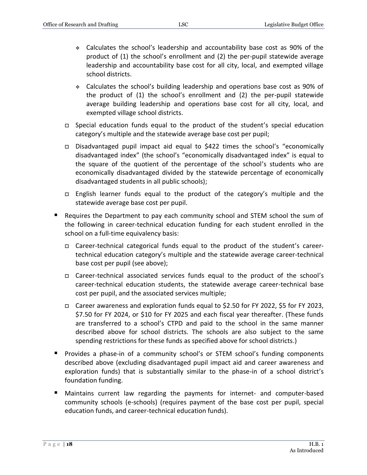- Calculates the school's leadership and accountability base cost as 90% of the product of (1) the school's enrollment and (2) the per-pupil statewide average leadership and accountability base cost for all city, local, and exempted village school districts.
- Calculates the school's building leadership and operations base cost as 90% of the product of (1) the school's enrollment and (2) the per-pupil statewide average building leadership and operations base cost for all city, local, and exempted village school districts.
- □ Special education funds equal to the product of the student's special education category's multiple and the statewide average base cost per pupil;
- Disadvantaged pupil impact aid equal to \$422 times the school's "economically disadvantaged index" (the school's "economically disadvantaged index" is equal to the square of the quotient of the percentage of the school's students who are economically disadvantaged divided by the statewide percentage of economically disadvantaged students in all public schools);
- English learner funds equal to the product of the category's multiple and the statewide average base cost per pupil.
- Requires the Department to pay each community school and STEM school the sum of the following in career-technical education funding for each student enrolled in the school on a full-time equivalency basis:
	- Career-technical categorical funds equal to the product of the student's careertechnical education category's multiple and the statewide average career-technical base cost per pupil (see above);
	- Career-technical associated services funds equal to the product of the school's career-technical education students, the statewide average career-technical base cost per pupil, and the associated services multiple;
	- Career awareness and exploration funds equal to \$2.50 for FY 2022, \$5 for FY 2023, \$7.50 for FY 2024, or \$10 for FY 2025 and each fiscal year thereafter. (These funds are transferred to a school's CTPD and paid to the school in the same manner described above for school districts. The schools are also subject to the same spending restrictions for these funds as specified above for school districts.)
- **Provides a phase-in of a community school's or STEM school's funding components** described above (excluding disadvantaged pupil impact aid and career awareness and exploration funds) that is substantially similar to the phase-in of a school district's foundation funding.
- Maintains current law regarding the payments for internet- and computer-based community schools (e-schools) (requires payment of the base cost per pupil, special education funds, and career-technical education funds).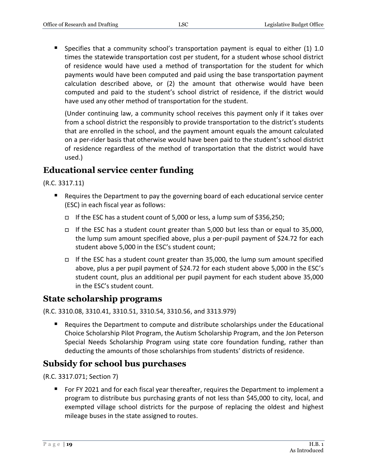**Specifies that a community school's transportation payment is equal to either (1) 1.0** times the statewide transportation cost per student, for a student whose school district of residence would have used a method of transportation for the student for which payments would have been computed and paid using the base transportation payment calculation described above, or (2) the amount that otherwise would have been computed and paid to the student's school district of residence, if the district would have used any other method of transportation for the student.

(Under continuing law, a community school receives this payment only if it takes over from a school district the responsibly to provide transportation to the district's students that are enrolled in the school, and the payment amount equals the amount calculated on a per-rider basis that otherwise would have been paid to the student's school district of residence regardless of the method of transportation that the district would have used.)

## <span id="page-18-0"></span>**Educational service center funding**

(R.C. 3317.11)

- Requires the Department to pay the governing board of each educational service center (ESC) in each fiscal year as follows:
	- If the ESC has a student count of 5,000 or less, a lump sum of \$356,250;
	- If the ESC has a student count greater than 5,000 but less than or equal to 35,000, the lump sum amount specified above, plus a per-pupil payment of \$24.72 for each student above 5,000 in the ESC's student count;
	- If the ESC has a student count greater than 35,000, the lump sum amount specified above, plus a per pupil payment of \$24.72 for each student above 5,000 in the ESC's student count, plus an additional per pupil payment for each student above 35,000 in the ESC's student count.

### <span id="page-18-1"></span>**State scholarship programs**

(R.C. 3310.08, 3310.41, 3310.51, 3310.54, 3310.56, and 3313.979)

 Requires the Department to compute and distribute scholarships under the Educational Choice Scholarship Pilot Program, the Autism Scholarship Program, and the Jon Peterson Special Needs Scholarship Program using state core foundation funding, rather than deducting the amounts of those scholarships from students' districts of residence.

## <span id="page-18-2"></span>**Subsidy for school bus purchases**

(R.C. 3317.071; Section 7)

 For FY 2021 and for each fiscal year thereafter, requires the Department to implement a program to distribute bus purchasing grants of not less than \$45,000 to city, local, and exempted village school districts for the purpose of replacing the oldest and highest mileage buses in the state assigned to routes.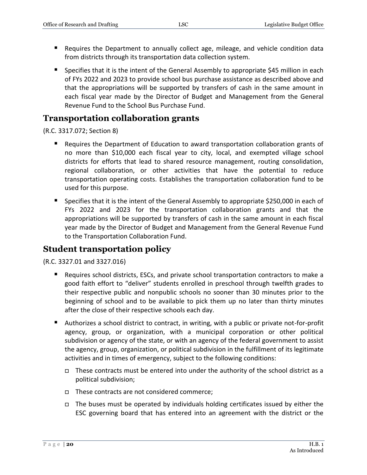- Requires the Department to annually collect age, mileage, and vehicle condition data from districts through its transportation data collection system.
- Specifies that it is the intent of the General Assembly to appropriate \$45 million in each of FYs 2022 and 2023 to provide school bus purchase assistance as described above and that the appropriations will be supported by transfers of cash in the same amount in each fiscal year made by the Director of Budget and Management from the General Revenue Fund to the School Bus Purchase Fund.

## <span id="page-19-0"></span>**Transportation collaboration grants**

(R.C. 3317.072; Section 8)

- Requires the Department of Education to award transportation collaboration grants of no more than \$10,000 each fiscal year to city, local, and exempted village school districts for efforts that lead to shared resource management, routing consolidation, regional collaboration, or other activities that have the potential to reduce transportation operating costs. Establishes the transportation collaboration fund to be used for this purpose.
- **Specifies that it is the intent of the General Assembly to appropriate \$250,000 in each of** FYs 2022 and 2023 for the transportation collaboration grants and that the appropriations will be supported by transfers of cash in the same amount in each fiscal year made by the Director of Budget and Management from the General Revenue Fund to the Transportation Collaboration Fund.

## <span id="page-19-1"></span>**Student transportation policy**

(R.C. 3327.01 and 3327.016)

- Requires school districts, ESCs, and private school transportation contractors to make a good faith effort to "deliver" students enrolled in preschool through twelfth grades to their respective public and nonpublic schools no sooner than 30 minutes prior to the beginning of school and to be available to pick them up no later than thirty minutes after the close of their respective schools each day.
- Authorizes a school district to contract, in writing, with a public or private not-for-profit agency, group, or organization, with a municipal corporation or other political subdivision or agency of the state, or with an agency of the federal government to assist the agency, group, organization, or political subdivision in the fulfillment of its legitimate activities and in times of emergency, subject to the following conditions:
	- $\Box$  These contracts must be entered into under the authority of the school district as a political subdivision;
	- $\Box$  These contracts are not considered commerce;
	- $\Box$  The buses must be operated by individuals holding certificates issued by either the ESC governing board that has entered into an agreement with the district or the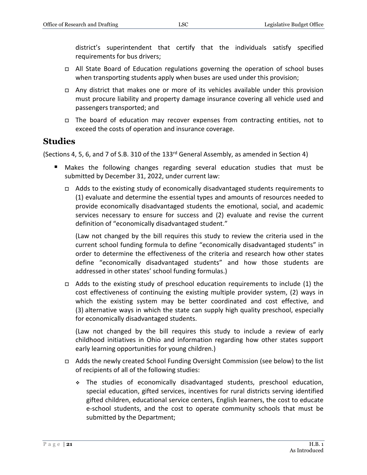district's superintendent that certify that the individuals satisfy specified requirements for bus drivers;

- All State Board of Education regulations governing the operation of school buses when transporting students apply when buses are used under this provision;
- Any district that makes one or more of its vehicles available under this provision must procure liability and property damage insurance covering all vehicle used and passengers transported; and
- The board of education may recover expenses from contracting entities, not to exceed the costs of operation and insurance coverage.

## <span id="page-20-0"></span>**Studies**

(Sections 4, 5, 6, and 7 of S.B. 310 of the 133rd General Assembly, as amended in Section 4)

- Makes the following changes regarding several education studies that must be submitted by December 31, 2022, under current law:
	- $\Box$  Adds to the existing study of economically disadvantaged students requirements to (1) evaluate and determine the essential types and amounts of resources needed to provide economically disadvantaged students the emotional, social, and academic services necessary to ensure for success and (2) evaluate and revise the current definition of "economically disadvantaged student."

(Law not changed by the bill requires this study to review the criteria used in the current school funding formula to define "economically disadvantaged students" in order to determine the effectiveness of the criteria and research how other states define "economically disadvantaged students" and how those students are addressed in other states' school funding formulas.)

 $\Box$  Adds to the existing study of preschool education requirements to include (1) the cost effectiveness of continuing the existing multiple provider system, (2) ways in which the existing system may be better coordinated and cost effective, and (3) alternative ways in which the state can supply high quality preschool, especially for economically disadvantaged students.

(Law not changed by the bill requires this study to include a review of early childhood initiatives in Ohio and information regarding how other states support early learning opportunities for young children.)

- Adds the newly created School Funding Oversight Commission (see below) to the list of recipients of all of the following studies:
	- The studies of economically disadvantaged students, preschool education, special education, gifted services, incentives for rural districts serving identified gifted children, educational service centers, English learners, the cost to educate e-school students, and the cost to operate community schools that must be submitted by the Department;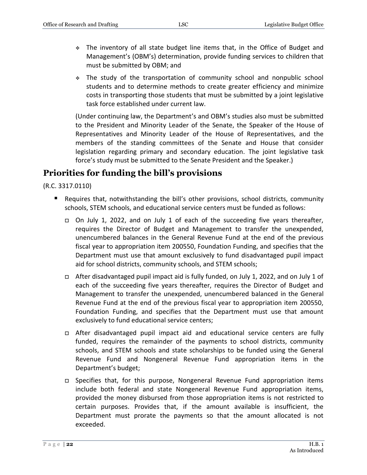- The inventory of all state budget line items that, in the Office of Budget and Management's (OBM's) determination, provide funding services to children that must be submitted by OBM; and
- The study of the transportation of community school and nonpublic school students and to determine methods to create greater efficiency and minimize costs in transporting those students that must be submitted by a joint legislative task force established under current law.

(Under continuing law, the Department's and OBM's studies also must be submitted to the President and Minority Leader of the Senate, the Speaker of the House of Representatives and Minority Leader of the House of Representatives, and the members of the standing committees of the Senate and House that consider legislation regarding primary and secondary education. The joint legislative task force's study must be submitted to the Senate President and the Speaker.)

## <span id="page-21-0"></span>**Priorities for funding the bill's provisions**

(R.C. 3317.0110)

- Requires that, notwithstanding the bill's other provisions, school districts, community schools, STEM schools, and educational service centers must be funded as follows:
	- On July 1, 2022, and on July 1 of each of the succeeding five years thereafter, requires the Director of Budget and Management to transfer the unexpended, unencumbered balances in the General Revenue Fund at the end of the previous fiscal year to appropriation item 200550, Foundation Funding, and specifies that the Department must use that amount exclusively to fund disadvantaged pupil impact aid for school districts, community schools, and STEM schools;
	- After disadvantaged pupil impact aid is fully funded, on July 1, 2022, and on July 1 of each of the succeeding five years thereafter, requires the Director of Budget and Management to transfer the unexpended, unencumbered balanced in the General Revenue Fund at the end of the previous fiscal year to appropriation item 200550, Foundation Funding, and specifies that the Department must use that amount exclusively to fund educational service centers;
	- After disadvantaged pupil impact aid and educational service centers are fully funded, requires the remainder of the payments to school districts, community schools, and STEM schools and state scholarships to be funded using the General Revenue Fund and Nongeneral Revenue Fund appropriation items in the Department's budget;
	- Specifies that, for this purpose, Nongeneral Revenue Fund appropriation items include both federal and state Nongeneral Revenue Fund appropriation items, provided the money disbursed from those appropriation items is not restricted to certain purposes. Provides that, if the amount available is insufficient, the Department must prorate the payments so that the amount allocated is not exceeded.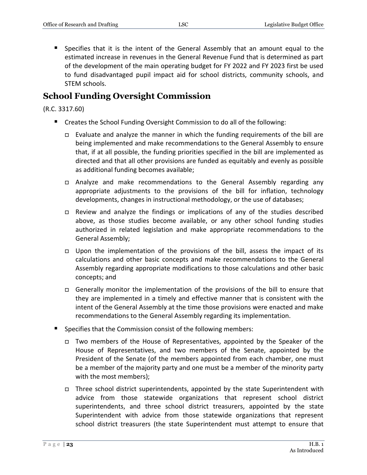Specifies that it is the intent of the General Assembly that an amount equal to the estimated increase in revenues in the General Revenue Fund that is determined as part of the development of the main operating budget for FY 2022 and FY 2023 first be used to fund disadvantaged pupil impact aid for school districts, community schools, and STEM schools.

## <span id="page-22-0"></span>**School Funding Oversight Commission**

#### (R.C. 3317.60)

- **E** Creates the School Funding Oversight Commission to do all of the following:
	- □ Evaluate and analyze the manner in which the funding requirements of the bill are being implemented and make recommendations to the General Assembly to ensure that, if at all possible, the funding priorities specified in the bill are implemented as directed and that all other provisions are funded as equitably and evenly as possible as additional funding becomes available;
	- Analyze and make recommendations to the General Assembly regarding any appropriate adjustments to the provisions of the bill for inflation, technology developments, changes in instructional methodology, or the use of databases;
	- $\Box$  Review and analyze the findings or implications of any of the studies described above, as those studies become available, or any other school funding studies authorized in related legislation and make appropriate recommendations to the General Assembly;
	- $\Box$  Upon the implementation of the provisions of the bill, assess the impact of its calculations and other basic concepts and make recommendations to the General Assembly regarding appropriate modifications to those calculations and other basic concepts; and
	- Generally monitor the implementation of the provisions of the bill to ensure that they are implemented in a timely and effective manner that is consistent with the intent of the General Assembly at the time those provisions were enacted and make recommendations to the General Assembly regarding its implementation.
- Specifies that the Commission consist of the following members:
	- Two members of the House of Representatives, appointed by the Speaker of the House of Representatives, and two members of the Senate, appointed by the President of the Senate (of the members appointed from each chamber, one must be a member of the majority party and one must be a member of the minority party with the most members);
	- □ Three school district superintendents, appointed by the state Superintendent with advice from those statewide organizations that represent school district superintendents, and three school district treasurers, appointed by the state Superintendent with advice from those statewide organizations that represent school district treasurers (the state Superintendent must attempt to ensure that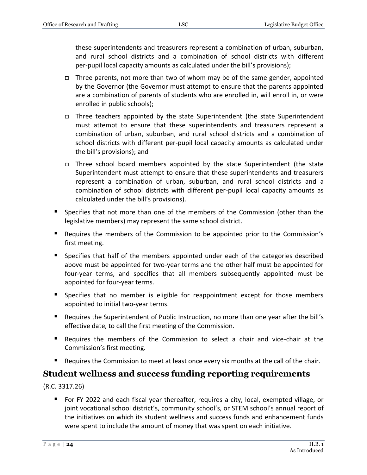these superintendents and treasurers represent a combination of urban, suburban, and rural school districts and a combination of school districts with different per-pupil local capacity amounts as calculated under the bill's provisions);

- $\Box$  Three parents, not more than two of whom may be of the same gender, appointed by the Governor (the Governor must attempt to ensure that the parents appointed are a combination of parents of students who are enrolled in, will enroll in, or were enrolled in public schools);
- $\Box$  Three teachers appointed by the state Superintendent (the state Superintendent must attempt to ensure that these superintendents and treasurers represent a combination of urban, suburban, and rural school districts and a combination of school districts with different per-pupil local capacity amounts as calculated under the bill's provisions); and
- $\Box$  Three school board members appointed by the state Superintendent (the state Superintendent must attempt to ensure that these superintendents and treasurers represent a combination of urban, suburban, and rural school districts and a combination of school districts with different per-pupil local capacity amounts as calculated under the bill's provisions).
- Specifies that not more than one of the members of the Commission (other than the legislative members) may represent the same school district.
- **Requires the members of the Commission to be appointed prior to the Commission's** first meeting.
- Specifies that half of the members appointed under each of the categories described above must be appointed for two-year terms and the other half must be appointed for four-year terms, and specifies that all members subsequently appointed must be appointed for four-year terms.
- **Specifies that no member is eligible for reappointment except for those members** appointed to initial two-year terms.
- Requires the Superintendent of Public Instruction, no more than one year after the bill's effective date, to call the first meeting of the Commission.
- Requires the members of the Commission to select a chair and vice-chair at the Commission's first meeting.
- Requires the Commission to meet at least once every six months at the call of the chair.

## <span id="page-23-0"></span>**Student wellness and success funding reporting requirements**

(R.C. 3317.26)

 For FY 2022 and each fiscal year thereafter, requires a city, local, exempted village, or joint vocational school district's, community school's, or STEM school's annual report of the initiatives on which its student wellness and success funds and enhancement funds were spent to include the amount of money that was spent on each initiative.